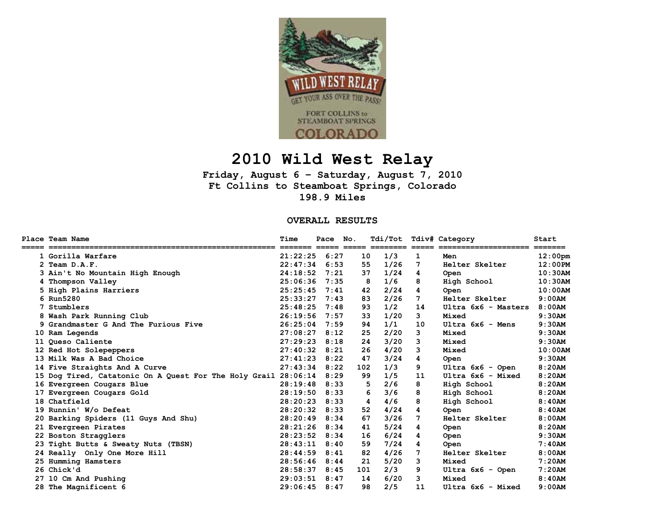

## **2010 Wild West Relay**

**Friday, August 6 – Saturday, August 7, 2010 Ft Collins to Steamboat Springs, Colorado 198.9 Miles** 

**OVERALL RESULTS** 

| <b>Place Team Name</b>                                         | Time     | Pace | No. | Tdi/Tot  |    | Tdiv# Category      | Start      |
|----------------------------------------------------------------|----------|------|-----|----------|----|---------------------|------------|
| 1 Gorilla Warfare                                              | 21:22:25 | 6:27 | 10  | 1/3      | 1  | Men                 | $12:00$ pm |
| 2 Team D.A.F.                                                  | 22:47:34 | 6:53 | 55  | 1/26     | 7  | Helter Skelter      | 12:00PM    |
| 3 Ain't No Mountain High Enough                                | 24:18:52 | 7:21 | 37  | 1/24     | 4  | Open                | $10:30$ AM |
| 4 Thompson Valley                                              | 25:06:36 | 7:35 | 8   | 1/6      | 8  | High School         | 10:30AM    |
| 5 High Plains Harriers                                         | 25:25:45 | 7:41 | 42  | 2/24     | 4  | Open                | $10:00$ AM |
| 6 Run5280                                                      | 25:33:27 | 7:43 | 83  | 2/26     | 7  | Helter Skelter      | 9:00AM     |
| 7 Stumblers                                                    | 25:48:25 | 7:48 | 93  | 1/2      | 14 | Ultra 6x6 - Masters | 8:00AM     |
| 8 Wash Park Running Club                                       | 26:19:56 | 7:57 | 33  | 1/20     | 3  | Mixed               | 9:30AM     |
| 9 Grandmaster G And The Furious Five                           | 26:25:04 | 7:59 | 94  | 1/1      | 10 | $Ultra$ 6x6 - Mens  | 9:30AM     |
| 10 Ram Legends                                                 | 27:08:27 | 8:12 | 25  | 2/20     | 3  | Mixed               | 9:30AM     |
| 11 Queso Caliente                                              | 27:29:23 | 8:18 | 24  | 3/20     | 3  | Mixed               | 9:30AM     |
| 12 Red Hot Solepeppers                                         | 27:40:32 | 8:21 | 26  | 4/20     | 3  | Mixed               | $10:00$ AM |
| 13 Milk Was A Bad Choice                                       | 27:41:23 | 8:22 | 47  | 3/24     | 4  | Open                | 9:30AM     |
| 14 Five Straights And A Curve                                  | 27:43:34 | 8:22 | 102 | 1/3      | 9  | Ultra 6x6 - Open    | 8:20AM     |
| 15 Dog Tired, Catatonic On A Quest For The Holy Grail 28:06:14 |          | 8:29 | 99  | 1/5      | 11 | Ultra 6x6 - Mixed   | 8:20AM     |
| 16 Evergreen Cougars Blue                                      | 28:19:48 | 8:33 | 5   | 2/6      | 8  | High School         | 8:20AM     |
| 17 Evergreen Cougars Gold                                      | 28:19:50 | 8:33 |     | 3/6<br>6 | 8  | High School         | 8:20AM     |
| 18 Chatfield                                                   | 28:20:23 | 8:33 | 4   | 4/6      | 8  | High School         | 8:40AM     |
| 19 Runnin' W/o Defeat                                          | 28:20:32 | 8:33 | 52  | 4/24     | 4  | Open                | 8:40AM     |
| 20 Barking Spiders (11 Guys And Shu)                           | 28:20:49 | 8:34 | 67  | 3/26     | 7  | Helter Skelter      | 8:00AM     |
| 21 Evergreen Pirates                                           | 28:21:26 | 8:34 | 41  | 5/24     | 4  | <b>Open</b>         | 8:20AM     |
| 22 Boston Stragglers                                           | 28:23:52 | 8:34 | 16  | 6/24     | 4  | Open                | 9:30AM     |
| 23 Tight Butts & Sweaty Nuts (TBSN)                            | 28:43:11 | 8:40 | 59  | 7/24     | 4  | Open                | 7:40AM     |
| 24 Really Only One More Hill                                   | 28:44:59 | 8:41 | 82  | 4/26     | 7  | Helter Skelter      | 8:00AM     |
| 25 Humming Hamsters                                            | 28:56:46 | 8:44 | 21  | 5/20     | 3  | Mixed               | 7:20AM     |
| 26 Chick'd                                                     | 28:58:37 | 8:45 | 101 | 2/3      | 9  | Ultra $6x6 -$ Open  | 7:20AM     |
| 27 10 Cm And Pushing                                           | 29:03:51 | 8:47 | 14  | 6/20     | 3  | Mixed               | 8:40AM     |
| 28 The Magnificent 6                                           | 29:06:45 | 8:47 | 98  | 2/5      | 11 | Ultra 6x6 - Mixed   | 9:00AM     |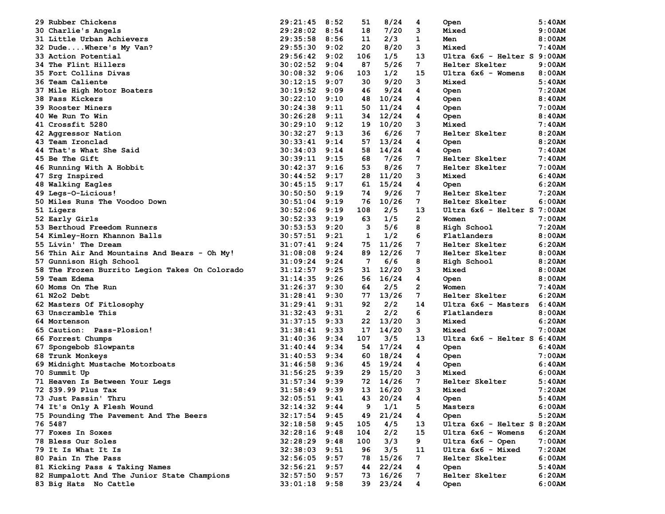| 29 Rubber Chickens                             | 29:21:45          | 8:52 | 51           | 8/24  | 4              | 5:40AM<br>Open                |           |
|------------------------------------------------|-------------------|------|--------------|-------|----------------|-------------------------------|-----------|
| 30 Charlie's Angels                            | 29:28:02          | 8:54 | 18           | 7/20  | 3              | 9:00AM<br>Mixed               |           |
| 31 Little Urban Achievers                      | 29:35:58          | 8:56 | 11           | 2/3   | 1              | 8:00AM<br>Men                 |           |
| 32 DudeWhere's My Van?                         | 29:55:30          | 9:02 | 20           | 8/20  | 3              | 7:40AM<br>Mixed               |           |
| 33 Action Potential                            | 29:56:42          | 9:02 | 106          | 1/5   | 13             | Ultra 6x6 - Helter S 9:00AM   |           |
| 34 The Flint Hillers                           | 30:02:52          | 9:04 | 87           | 5/26  | 7              | 9:00AM<br>Helter Skelter      |           |
| 35 Fort Collins Divas                          | 30:08:32          | 9:06 | 103          | 1/2   | 15             | Ultra 6x6 - Womens<br>8:00AM  |           |
| 36 Team Caliente                               | 30:12:15          | 9:07 | 30           | 9/20  | 3              | 5:40AM<br>Mixed               |           |
| 37 Mile High Motor Boaters                     | 30:19:52          | 9:09 | 46           | 9/24  | 4              | 7:20AM<br>Open                |           |
| 38 Pass Kickers                                | 30:22:10          | 9:10 | 48           | 10/24 | 4              | 8:40AM<br>Open                |           |
| <b>39 Rooster Miners</b>                       | 30:24:38          | 9:11 | 50           | 11/24 | 4              | 7:00AM<br>Open                |           |
| <b>40 We Run To Win</b>                        | 30:26:28          | 9:11 | 34           | 12/24 | 4              | 8:40AM<br>Open                |           |
| 41 Crossfit 5280                               | 30:29:10          | 9:12 | 19           | 10/20 | 3              | 7:40AM<br>Mixed               |           |
| 42 Aggressor Nation                            | 30:32:27          | 9:13 | 36           | 6/26  | 7              | Helter Skelter<br>8:20AM      |           |
| 43 Team Ironclad                               | 30:33:41          | 9:14 | 57           | 13/24 | 4              | 8:20AM<br>Open                |           |
| 44 That's What She Said                        | 30:34:03          | 9:14 | 58           | 14/24 | 4              | 7:40AM<br>Open                |           |
| <b>45 Be The Gift</b>                          | 30:39:11          | 9:15 | 68           | 7/26  | 7              | 7:40AM<br>Helter Skelter      |           |
| 46 Running With A Hobbit                       | 30:42:37          | 9:16 | 53           | 8/26  | 7              | Helter Skelter<br>7:00AM      |           |
| 47 Srg Inspired                                | 30:44:52          | 9:17 | 28           | 11/20 | 3              | 6:40AM<br>Mixed               |           |
| 48 Walking Eagles                              | 30:45:15          | 9:17 | 61           | 15/24 | 4              | 6:20AM<br>Open                |           |
| 49 Legs-O-Licious!                             | 30:50:50          | 9:19 | 74           | 9/26  | 7              | Helter Skelter<br>7:20AM      |           |
| <b>50 Miles Runs The Voodoo Down</b>           | 30:51:04          | 9:19 | 76           | 10/26 | 7              | Helter Skelter<br>6:00AM      |           |
| 51 Ligers                                      | 30:52:06          | 9:19 | 108          | 2/5   | 13             | Ultra 6x6 - Helter S 7:00AM   |           |
| 52 Early Girls                                 | 30:52:33          | 9:19 | 63           | 1/5   | $\overline{2}$ | 7:00AM<br>Women               |           |
| 53 Berthoud Freedom Runners                    | 30:53:53          | 9:20 | з            | 5/6   | 8              | 7:20AM<br>High School         |           |
| 54 Kimley-Horn Khannon Balls                   | 30:57:51          | 9:21 | 1            | 1/2   | 6              | 8:00AM<br>Flatlanders         |           |
| 55 Livin' The Dream                            | 31:07:41          | 9:24 | 75           | 11/26 | 7              | Helter Skelter<br>6:20AM      |           |
| 56 Thin Air And Mountains And Bears - Oh My!   | 31:08:08          | 9:24 | 89           | 12/26 | 7              | 8:00AM<br>Helter Skelter      |           |
| 57 Gunnison High School                        | 31:09:24          | 9:24 | 7            | 6/6   | 8              | 8:20AM<br>High School         |           |
| 58 The Frozen Burrito Legion Takes On Colorado | 31:12:57          | 9:25 | 31           | 12/20 | 3              | 8:00AM<br>Mixed               |           |
| 59 Team Edema                                  | 31:14:35          | 9:26 | 56           | 16/24 | 4              | 8:00AM                        |           |
| 60 Moms On The Run                             | 31:26:37          | 9:30 | 64           | 2/5   | 2              | Open<br>7:40AM<br>Women       |           |
| 61 N2o2 Debt                                   | 31:28:41          | 9:30 | 77           | 13/26 | 7              | 6:20AM<br>Helter Skelter      |           |
| 62 Masters Of Fitlosophy                       | 31:29:41          | 9:31 | 92           | 2/2   | 14             | 6:40AM<br>Ultra 6x6 - Masters |           |
| 63 Unscramble This                             | 31:32:43          | 9:31 | $\mathbf{2}$ | 2/2   | 6              | Flatlanders<br>8:00AM         |           |
|                                                |                   | 9:33 | 22           |       | 3              |                               |           |
| 64 Mortenson                                   | 31:37:15          |      |              | 13/20 | 3              | 6:20AM<br>Mixed               |           |
| 65 Caution: Pass-Plosion!                      | 31:38:41          | 9:33 | 17           | 14/20 | 13             | 7:00AM<br>Mixed               |           |
| 66 Forrest Chumps                              | 31:40:36          | 9:34 | 107          | 3/5   |                | Ultra 6x6 - Helter S 6:40AM   |           |
| 67 Spongebob Slowpants                         | 31:40:44          | 9:34 | 54           | 17/24 | 4              | 6:40AM<br>Open                |           |
| 68 Trunk Monkeys                               | 31:40:53          | 9:34 | 60           | 18/24 | 4              | 7:00AM<br>Open                |           |
| 69 Midnight Mustache Motorboats                | 31:46:58          | 9:36 | 45           | 19/24 | 4              | 6:40AM<br>Open                |           |
| 70 Summit Up                                   | 31:56:25          | 9:39 | 29           | 15/20 | з              | 6:00AM<br>Mixed               |           |
| 71 Heaven Is Between Your Legs                 | 31:57:34          | 9:39 | 72           | 14/26 | 7              | Helter Skelter<br>5:40AM      |           |
| 72 \$39.99 Plus Tax                            | 31:58:49          | 9:39 | 13           | 16/20 | 3              | 7:20AM<br>Mixed               |           |
| 73 Just Passin' Thru                           | $32:05:51$ $9:41$ |      | 43           | 20/24 | 4              | Open                          | 5:40AM    |
| 74 It's Only A Flesh Wound                     | $32:14:32$ 9:44   |      | 9            | 1/1   | 5              | Masters                       | 6:00AM    |
| 75 Pounding The Pavement And The Beers         | $32:17:54$ 9:45   |      | 49           | 21/24 | 4              | Open                          | $5:20$ AM |
| 76 5487                                        | 32:18:58          | 9:45 | 105          | 4/5   | 13             | Ultra 6x6 - Helter S 8:20AM   |           |
| 77 Foxes In Soxes                              | $32:28:16$ 9:48   |      | 104          | 2/2   | 15             | Ultra 6x6 - Womens            | 6:20AM    |
| 78 Bless Our Soles                             | 32:28:29 9:48     |      | 100          | 3/3   | 9              | Ultra 6x6 - Open              | 7:00AM    |
| 79 It Is What It Is                            | 32:38:03 9:51     |      | 96           | 3/5   | 11             | Ultra 6x6 - Mixed<br>7:20AM   |           |
| 80 Pain In The Pass                            | 32:56:05 9:57     |      | 78           | 15/26 | 7              | Helter Skelter                | 6:00AM    |
| 81 Kicking Pass & Taking Names                 | 32:56:21          | 9:57 | 44           | 22/24 | 4              | 5:40AM<br>Open                |           |
| 82 Humpalott And The Junior State Champions    | $32:57:50$ 9:57   |      | 73           | 16/26 | 7              | Helter Skelter                | 6:20AM    |
| 83 Big Hats No Cattle                          | $33:01:18$ 9:58   |      | 39           | 23/24 | 4              | Open                          | $6:00$ AM |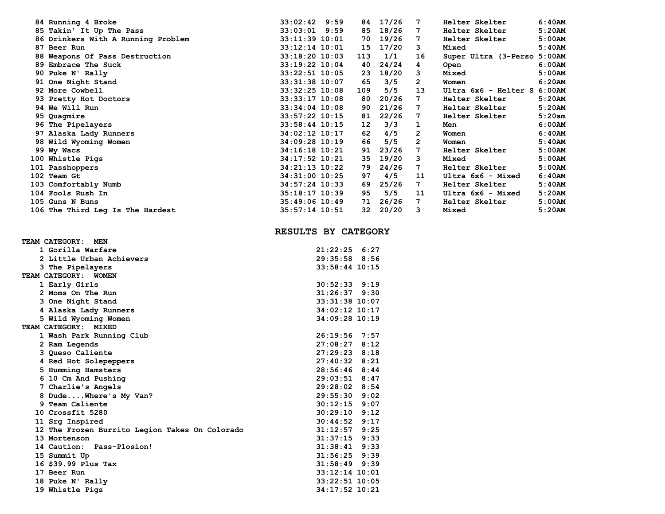| 84 Running 4 Broke                 | 33:02:42 9:59    |      | 84  | 17/26 | 7                     | Helter Skelter              | $6:40$ AM |
|------------------------------------|------------------|------|-----|-------|-----------------------|-----------------------------|-----------|
| 85 Takin' It Up The Pass           | 33:03:01         | 9:59 | 85  | 18/26 | 7                     | Helter Skelter              | 5:20AM    |
| 86 Drinkers With A Running Problem | 33:11:39 10:01   |      | 70  | 19/26 | 7                     | Helter Skelter              | 5:00AM    |
| 87 Beer Run                        | 33:12:14 10:01   |      | 15  | 17/20 | 3                     | Mixed                       | 5:40AM    |
| 88 Weapons Of Pass Destruction     | 33:18:20 10:03   |      | 113 | 1/1   | 16                    | Super Ultra (3-Perso 5:00AM |           |
| 89 Embrace The Suck                | 33:19:22 10:04   |      | 40  | 24/24 | 4                     | Open                        | 6:00AM    |
| 90 Puke N' Rally                   | 33:22:51 10:05   |      | 23  | 18/20 | 3                     | Mixed                       | 5:00AM    |
| 91 One Night Stand                 | 33:31:38 10:07   |      | 65  | 3/5   | $\mathbf{2}^{\prime}$ | Women                       | 6:20AM    |
| 92 More Cowbell                    | 33:32:25 10:08   |      | 109 | 5/5   | 13                    | Ultra 6x6 - Helter S 6:00AM |           |
| 93 Pretty Hot Doctors              | 33:33:17 10:08   |      | 80  | 20/26 | 7                     | Helter Skelter              | 5:20AM    |
| <b>94 We Will Run</b>              | 33:34:04 10:08   |      | 90  | 21/26 | 7                     | Helter Skelter              | 5:20AM    |
| 95 Quagmire                        | 33:57:22 10:15   |      | 81  | 22/26 | 7                     | Helter Skelter              | 5:20am    |
| 96 The Pipelayers                  | $33:58:44$ 10:15 |      | 12  | 3/3   | 1                     | Men                         | 6:00AM    |
| 97 Alaska Lady Runners             | 34:02:12 10:17   |      | 62  | 4/5   | $\overline{2}$        | Women                       | 6:40AM    |
| 98 Wild Wyoming Women              | 34:09:28 10:19   |      | 66  | 5/5   | $\overline{2}$        | Women                       | 5:40AM    |
| 99 Wy Wacs                         | 34:16:18 10:21   |      | 91  | 23/26 | 7                     | Helter Skelter              | 5:00AM    |
| 100 Whistle Pigs                   | 34:17:52 10:21   |      | 35  | 19/20 | 3                     | Mixed                       | 5:00AM    |
| 101 Passhoppers                    | 34:21:13 10:22   |      | 79  | 24/26 | 7                     | Helter Skelter              | 5:00AM    |
| 102 Team Gt                        | 34:31:00 10:25   |      | 97  | 4/5   | 11                    | Ultra 6x6 - Mixed           | 6:40AM    |
| 103 Comfortably Numb               | 34:57:24 10:33   |      | 69  | 25/26 | 7                     | Helter Skelter              | 5:40AM    |
| 104 Fools Rush In                  | 35:18:17 10:39   |      | 95  | 5/5   | 11                    | Ultra 6x6 - Mixed           | 5:20AM    |
| 105 Guns N Buns                    | $35:49:06$ 10:49 |      | 71  | 26/26 | 7                     | Helter Skelter              | 5:00AM    |
| 106 The Third Leg Is The Hardest   | 35:57:14 10:51   |      | 32  | 20/20 | 3                     | Mixed                       | 5:20AM    |
|                                    |                  |      |     |       |                       |                             |           |

## **RESULTS BY CATEGORY**

| TEAM CATEGORY:<br>MEN                          |                    |
|------------------------------------------------|--------------------|
| 1 Gorilla Warfare                              | $21:22:25$ 6:27    |
| 2 Little Urban Achievers                       | $29:35:58$ 8:56    |
| 3 The Pipelayers                               | $33:58:44$ 10:15   |
| TEAM CATEGORY: WOMEN                           |                    |
| 1 Early Girls                                  | $30:52:33$ $9:19$  |
| 2 Moms On The Run                              | $31:26:37$ 9:30    |
| 3 One Night Stand                              | $33:31:38$ 10:07   |
| 4 Alaska Lady Runners                          | $34:02:12$ 10:17   |
| 5 Wild Wyoming Women                           | 34:09:28 10:19     |
| TEAM CATEGORY: MIXED                           |                    |
| 1 Wash Park Running Club                       | $26:19:56$ 7:57    |
| 2 Ram Legends                                  | $27:08:27$ 8:12    |
| 3 Queso Caliente                               | $27:29:23$ 8:18    |
| 4 Red Hot Solepeppers                          | $27:40:32$ 8:21    |
| 5 Humming Hamsters                             | $28:56:46$ 8:44    |
| 6 10 Cm And Pushing                            | $29:03:51$ 8:47    |
| 7 Charlie's Angels                             | 29:28:02 8:54      |
| 8 DudeWhere's My Van?                          | $29:55:30$ $9:02$  |
| 9 Team Caliente                                | $30:12:15$ 9:07    |
| 10 Crossfit 5280                               | $30:29:10$ $9:12$  |
| 11 Srg Inspired                                | $30:44:52$ 9:17    |
| 12 The Frozen Burrito Legion Takes On Colorado | $31:12:57$ 9:25    |
| 13 Mortenson                                   | $31:37:15$ 9:33    |
| 14 Caution: Pass-Plosion!                      | $31:38:41$ 9:33    |
| 15 Summit Up                                   | $31:56:25$ 9:39    |
| 16 \$39.99 Plus Tax                            | $31:58:49$ 9:39    |
| 17 Beer Run                                    | $33:12:14$ 10:01   |
| 18 Puke N' Rally                               | $33:22:51$ $10:05$ |
| 19 Whistle Pigs                                | 34:17:52 10:21     |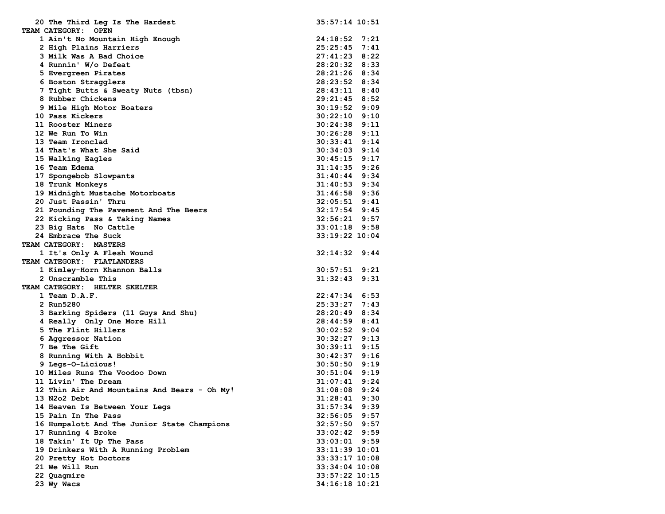| 20 The Third Leg Is The Hardest                         | $35:57:14$ 10:51                 |
|---------------------------------------------------------|----------------------------------|
| TEAM CATEGORY: OPEN                                     |                                  |
| 1 Ain't No Mountain High Enough                         | $24:18:52$ 7:21                  |
| 2 High Plains Harriers                                  | $25:25:45$ 7:41                  |
| 3 Milk Was A Bad Choice                                 | $27:41:23$ 8:22                  |
| 4 Runnin' W/o Defeat                                    | 28:20:32 8:33                    |
| 5 Evergreen Pirates                                     | 28:21:26 8:34                    |
| 6 Boston Stragglers                                     | 28:23:52 8:34                    |
| 7 Tight Butts & Sweaty Nuts (tbsn)                      | 28:43:11 8:40                    |
| 8 Rubber Chickens                                       | $29:21:45$ 8:52                  |
| 9 Mile High Motor Boaters                               | $30:19:52$ 9:09                  |
| 10 Pass Kickers                                         | $30:22:10$ 9:10                  |
| 11 Rooster Miners                                       | $30:24:38$ 9:11                  |
| 12 We Run To Win                                        | $30:26:28$ 9:11                  |
| 13 Team Ironclad                                        | $30:33:41$ $9:14$                |
| 14 That's What She Said                                 | $30:34:03$ 9:14                  |
| 15 Walking Eagles                                       | $30:45:15$ 9:17                  |
| 16 Team Edema                                           | $31:14:35$ 9:26                  |
|                                                         | $31:40:44$ 9:34                  |
| 17 Spongebob Slowpants<br>18 Trunk Monkeys              |                                  |
|                                                         | $31:40:53$ 9:34<br>31:46:58 9:36 |
| 19 Midnight Mustache Motorboats<br>20 Just Passin' Thru | $32:05:51$ 9:41                  |
|                                                         | $32:17:54$ 9:45                  |
| 21 Pounding The Pavement And The Beers                  |                                  |
| 22 Kicking Pass & Taking Names                          | $32:56:21$ 9:57                  |
| 23 Big Hats No Cattle                                   | $33:01:18$ 9:58                  |
| 24 Embrace The Suck                                     | 33:19:22 10:04                   |
| <b>TEAM CATEGORY: MASTERS</b>                           |                                  |
| 1 It's Only A Flesh Wound                               | $32:14:32$ 9:44                  |
| TEAM CATEGORY: FLATLANDERS                              |                                  |
| 1 Kimley-Horn Khannon Balls                             | $30:57:51$ $9:21$                |
| 2 Unscramble This                                       | $31:32:43$ $9:31$                |
| TEAM CATEGORY: HELTER SKELTER                           |                                  |
| 1 Team D.A.F.                                           | $22:47:34$ 6:53                  |
| 2 Run5280                                               | 25:33:27 7:43                    |
| 3 Barking Spiders (11 Guys And Shu)                     | 28:20:49 8:34                    |
| 4 Really Only One More Hill                             | 28:44:59 8:41                    |
| 5 The Flint Hillers                                     | $30:02:52$ 9:04                  |
| 6 Aggressor Nation                                      | $30:32:27$ 9:13                  |
| 7 Be The Gift                                           | $30:39:11$ $9:15$                |
| 8 Running With A Hobbit                                 | $30:42:37$ 9:16                  |
| 9 Legs-O-Licious!                                       | $30:50:50$ 9:19                  |
| 10 Miles Runs The Voodoo Down                           | $30:51:04$ 9:19                  |
| 11 Livin' The Dream                                     | $31:07:41$ 9:24                  |
| 12 Thin Air And Mountains And Bears - Oh My!            | 9:24<br>31:08:08                 |
| 13 N2o2 Debt                                            | 31:28:41<br>9:30                 |
| 14 Heaven Is Between Your Legs                          | $31:57:34$ 9:39                  |
| 15 Pain In The Pass                                     | $32:56:05$ 9:57                  |
| 16 Humpalott And The Junior State Champions             | $32:57:50$ 9:57                  |
| 17 Running 4 Broke                                      | $33:02:42$ 9:59                  |
| 18 Takin' It Up The Pass                                | $33:03:01$ 9:59                  |
| 19 Drinkers With A Running Problem                      | 33:11:39 10:01                   |
| 20 Pretty Hot Doctors                                   | 33:33:17 10:08                   |
| 21 We Will Run                                          | 33:34:04 10:08                   |
| 22 Quagmire                                             | $33:57:22$ 10:15                 |
| 23 Wy Wacs                                              | 34:16:18 10:21                   |